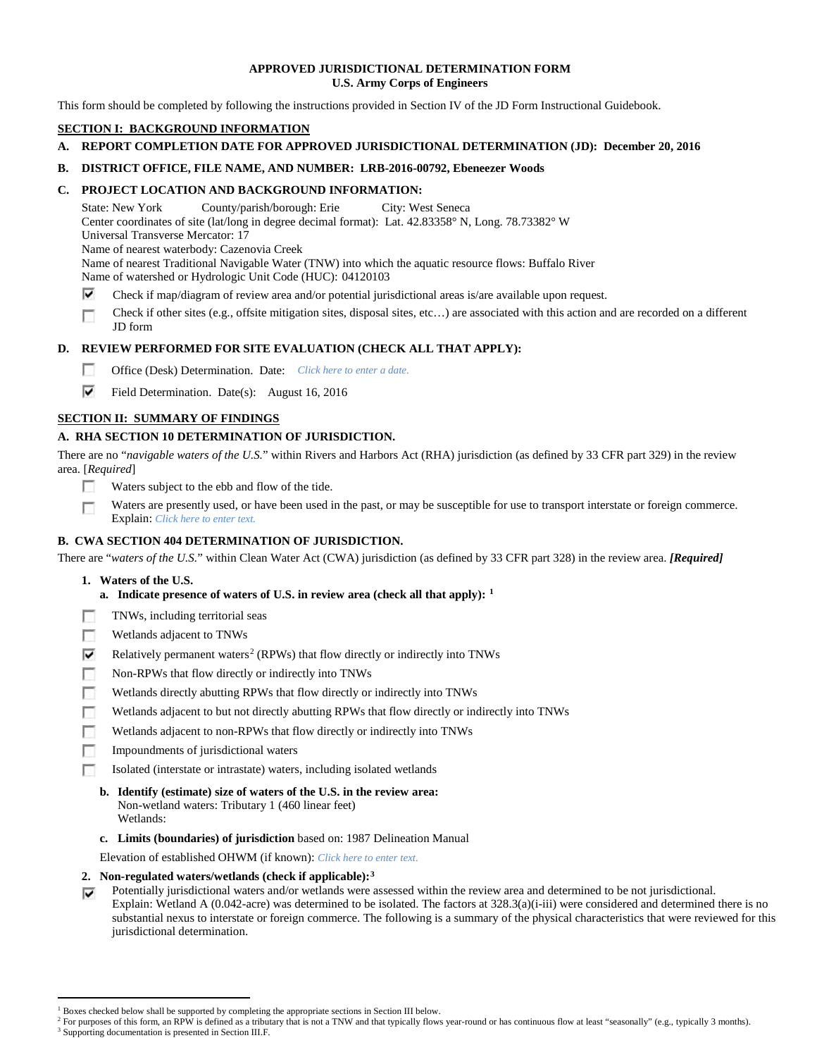## **APPROVED JURISDICTIONAL DETERMINATION FORM U.S. Army Corps of Engineers**

This form should be completed by following the instructions provided in Section IV of the JD Form Instructional Guidebook.

# **SECTION I: BACKGROUND INFORMATION**

# **A. REPORT COMPLETION DATE FOR APPROVED JURISDICTIONAL DETERMINATION (JD): December 20, 2016**

# **B. DISTRICT OFFICE, FILE NAME, AND NUMBER: LRB-2016-00792, Ebeneezer Woods**

# **C. PROJECT LOCATION AND BACKGROUND INFORMATION:**

State: New York County/parish/borough: Erie City: West Seneca Center coordinates of site (lat/long in degree decimal format): Lat. 42.83358° N, Long. 78.73382° W Universal Transverse Mercator: 17 Name of nearest waterbody: Cazenovia Creek Name of nearest Traditional Navigable Water (TNW) into which the aquatic resource flows: Buffalo River Name of watershed or Hydrologic Unit Code (HUC): 04120103

- ⊽ Check if map/diagram of review area and/or potential jurisdictional areas is/are available upon request.
- Check if other sites (e.g., offsite mitigation sites, disposal sites, etc…) are associated with this action and are recorded on a different П JD form

# **D. REVIEW PERFORMED FOR SITE EVALUATION (CHECK ALL THAT APPLY):**

- $\sim$ Office (Desk) Determination. Date: *Click here to enter a date.*
- ⊽ Field Determination. Date(s): August 16, 2016

# **SECTION II: SUMMARY OF FINDINGS**

# **A. RHA SECTION 10 DETERMINATION OF JURISDICTION.**

There are no "*navigable waters of the U.S.*" within Rivers and Harbors Act (RHA) jurisdiction (as defined by 33 CFR part 329) in the review area. [*Required*]

- п Waters subject to the ebb and flow of the tide.
- Waters are presently used, or have been used in the past, or may be susceptible for use to transport interstate or foreign commerce. г Explain: *Click here to enter text.*

# **B. CWA SECTION 404 DETERMINATION OF JURISDICTION.**

There are "*waters of the U.S.*" within Clean Water Act (CWA) jurisdiction (as defined by 33 CFR part 328) in the review area. *[Required]*

- **1. Waters of the U.S.**
	- **a. Indicate presence of waters of U.S. in review area (check all that apply): [1](#page-0-0)**
- п TNWs, including territorial seas
- Wetlands adjacent to TNWs n
- ⊽ Relatively permanent waters<sup>[2](#page-0-1)</sup> (RPWs) that flow directly or indirectly into TNWs
- m Non-RPWs that flow directly or indirectly into TNWs
- Wetlands directly abutting RPWs that flow directly or indirectly into TNWs п
- Wetlands adjacent to but not directly abutting RPWs that flow directly or indirectly into TNWs
- **In** Wetlands adjacent to non-RPWs that flow directly or indirectly into TNWs
- n. Impoundments of jurisdictional waters
- Isolated (interstate or intrastate) waters, including isolated wetlands m.
	- **b. Identify (estimate) size of waters of the U.S. in the review area:** Non-wetland waters: Tributary 1 (460 linear feet) Wetlands:
	- **c. Limits (boundaries) of jurisdiction** based on: 1987 Delineation Manual
	- Elevation of established OHWM (if known): *Click here to enter text.*
- **2. Non-regulated waters/wetlands (check if applicable):[3](#page-0-2)**
- Potentially jurisdictional waters and/or wetlands were assessed within the review area and determined to be not jurisdictional. ⊽ Explain: Wetland A (0.042-acre) was determined to be isolated. The factors at 328.3(a)(i-iii) were considered and determined there is no substantial nexus to interstate or foreign commerce. The following is a summary of the physical characteristics that were reviewed for this jurisdictional determination.

<sup>&</sup>lt;sup>1</sup> Boxes checked below shall be supported by completing the appropriate sections in Section III below.

<span id="page-0-2"></span><span id="page-0-1"></span><span id="page-0-0"></span>For purposes of this form, an RPW is defined as a tributary that is not a TNW and that typically flows year-round or has continuous flow at least "seasonally" (e.g., typically 3 months). <sup>3</sup> Supporting documentation is presented in Section III.F.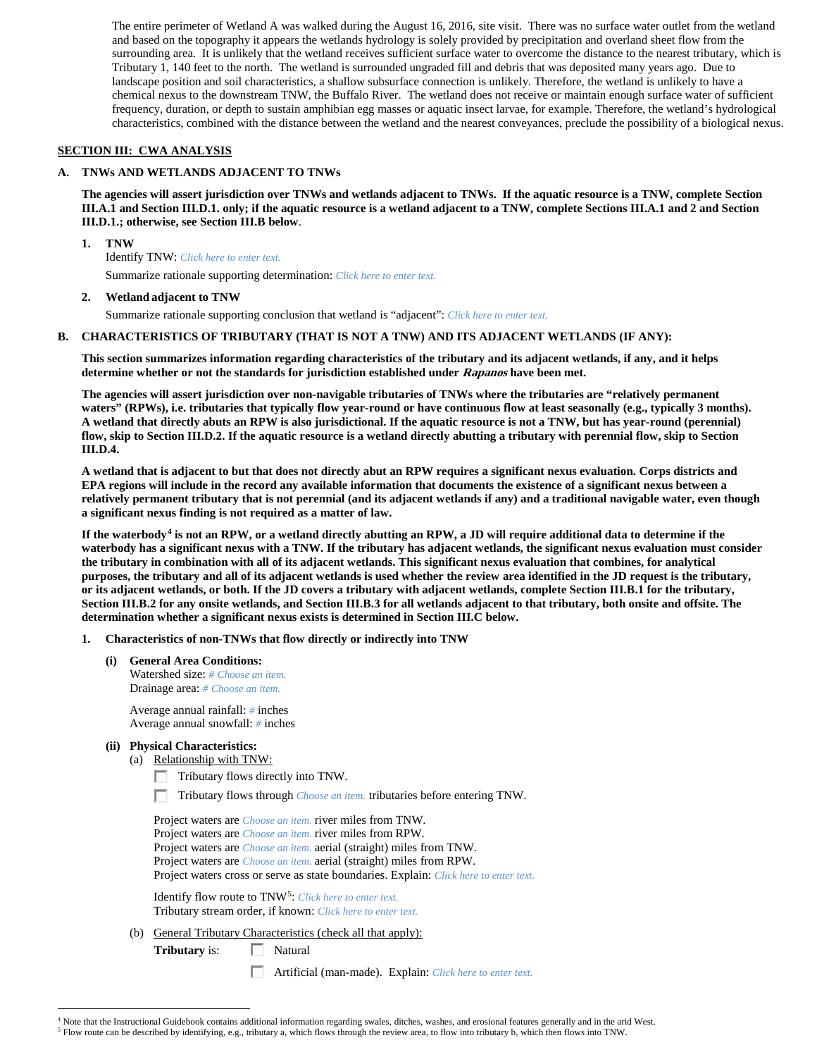The entire perimeter of Wetland A was walked during the August 16, 2016, site visit. There was no surface water outlet from the wetland and based on the topography it appears the wetlands hydrology is solely provided by precipitation and overland sheet flow from the surrounding area. It is unlikely that the wetland receives sufficient surface water to overcome the distance to the nearest tributary, which is Tributary 1, 140 feet to the north. The wetland is surrounded ungraded fill and debris that was deposited many years ago. Due to landscape position and soil characteristics, a shallow subsurface connection is unlikely. Therefore, the wetland is unlikely to have a chemical nexus to the downstream TNW, the Buffalo River. The wetland does not receive or maintain enough surface water of sufficient frequency, duration, or depth to sustain amphibian egg masses or aquatic insect larvae, for example. Therefore, the wetland's hydrological characteristics, combined with the distance between the wetland and the nearest conveyances, preclude the possibility of a biological nexus.

## **SECTION III: CWA ANALYSIS**

#### **A. TNWs AND WETLANDS ADJACENT TO TNWs**

**The agencies will assert jurisdiction over TNWs and wetlands adjacent to TNWs. If the aquatic resource is a TNW, complete Section III.A.1 and Section III.D.1. only; if the aquatic resource is a wetland adjacent to a TNW, complete Sections III.A.1 and 2 and Section III.D.1.; otherwise, see Section III.B below**.

**1. TNW** 

Identify TNW: *Click here to enter text.*

Summarize rationale supporting determination: *Click here to enter text.*

#### **2. Wetland adjacent to TNW**

Summarize rationale supporting conclusion that wetland is "adjacent": *Click here to enter text.*

#### **B. CHARACTERISTICS OF TRIBUTARY (THAT IS NOT A TNW) AND ITS ADJACENT WETLANDS (IF ANY):**

**This section summarizes information regarding characteristics of the tributary and its adjacent wetlands, if any, and it helps determine whether or not the standards for jurisdiction established under Rapanos have been met.** 

**The agencies will assert jurisdiction over non-navigable tributaries of TNWs where the tributaries are "relatively permanent waters" (RPWs), i.e. tributaries that typically flow year-round or have continuous flow at least seasonally (e.g., typically 3 months). A wetland that directly abuts an RPW is also jurisdictional. If the aquatic resource is not a TNW, but has year-round (perennial) flow, skip to Section III.D.2. If the aquatic resource is a wetland directly abutting a tributary with perennial flow, skip to Section III.D.4.**

**A wetland that is adjacent to but that does not directly abut an RPW requires a significant nexus evaluation. Corps districts and EPA regions will include in the record any available information that documents the existence of a significant nexus between a relatively permanent tributary that is not perennial (and its adjacent wetlands if any) and a traditional navigable water, even though a significant nexus finding is not required as a matter of law.**

**If the waterbody[4](#page-1-0) is not an RPW, or a wetland directly abutting an RPW, a JD will require additional data to determine if the waterbody has a significant nexus with a TNW. If the tributary has adjacent wetlands, the significant nexus evaluation must consider the tributary in combination with all of its adjacent wetlands. This significant nexus evaluation that combines, for analytical purposes, the tributary and all of its adjacent wetlands is used whether the review area identified in the JD request is the tributary, or its adjacent wetlands, or both. If the JD covers a tributary with adjacent wetlands, complete Section III.B.1 for the tributary, Section III.B.2 for any onsite wetlands, and Section III.B.3 for all wetlands adjacent to that tributary, both onsite and offsite. The determination whether a significant nexus exists is determined in Section III.C below.**

#### **1. Characteristics of non-TNWs that flow directly or indirectly into TNW**

**(i) General Area Conditions:** Watershed size: *# Choose an item.* Drainage area: *# Choose an item.*

> Average annual rainfall: *#* inches Average annual snowfall: *#* inches

#### **(ii) Physical Characteristics:**

- (a) Relationship with TNW:
	- Tributary flows directly into TNW.
	- п. Tributary flows through *Choose an item.* tributaries before entering TNW.

Project waters are *Choose an item.* river miles from TNW. Project waters are *Choose an item.* river miles from RPW. Project waters are *Choose an item.* aerial (straight) miles from TNW. Project waters are *Choose an item.* aerial (straight) miles from RPW. Project waters cross or serve as state boundaries. Explain: *Click here to enter text.*

Identify flow route to TNW[5:](#page-1-1) *Click here to enter text.* Tributary stream order, if known: *Click here to enter text.*

(b) General Tributary Characteristics (check all that apply):

**Tributary** is: Natural

Artificial (man-made). Explain: *Click here to enter text.*

<span id="page-1-0"></span><sup>&</sup>lt;sup>4</sup> Note that the Instructional Guidebook contains additional information regarding swales, ditches, washes, and erosional features generally and in the arid West.

<span id="page-1-1"></span><sup>5</sup> Flow route can be described by identifying, e.g., tributary a, which flows through the review area, to flow into tributary b, which then flows into TNW.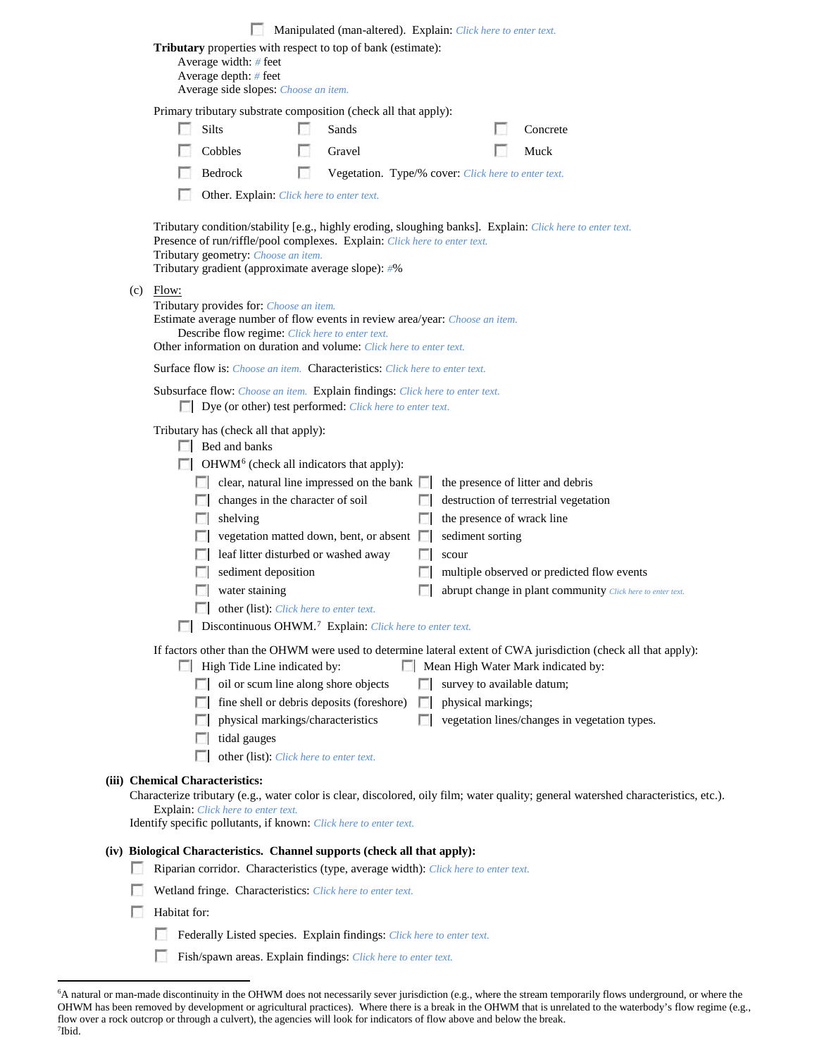|  | Manipulated (man-altered). Explain: Click here to enter text. |                                                                                                                                                                                                                                                                                     |       |                                                                                                                                                                                                                                                                                                                                                                                                                                                                                                     |   |                                                     |  |                           |                    |                                                                                                                                                                                                                      |                                                                                                                   |                                                                                                                                     |  |
|--|---------------------------------------------------------------|-------------------------------------------------------------------------------------------------------------------------------------------------------------------------------------------------------------------------------------------------------------------------------------|-------|-----------------------------------------------------------------------------------------------------------------------------------------------------------------------------------------------------------------------------------------------------------------------------------------------------------------------------------------------------------------------------------------------------------------------------------------------------------------------------------------------------|---|-----------------------------------------------------|--|---------------------------|--------------------|----------------------------------------------------------------------------------------------------------------------------------------------------------------------------------------------------------------------|-------------------------------------------------------------------------------------------------------------------|-------------------------------------------------------------------------------------------------------------------------------------|--|
|  |                                                               | Tributary properties with respect to top of bank (estimate):<br>Average width: # feet<br>Average depth: $#$ feet                                                                                                                                                                    |       |                                                                                                                                                                                                                                                                                                                                                                                                                                                                                                     |   |                                                     |  |                           |                    |                                                                                                                                                                                                                      |                                                                                                                   |                                                                                                                                     |  |
|  |                                                               | Average side slopes: Choose an item.                                                                                                                                                                                                                                                |       |                                                                                                                                                                                                                                                                                                                                                                                                                                                                                                     |   |                                                     |  |                           |                    |                                                                                                                                                                                                                      |                                                                                                                   |                                                                                                                                     |  |
|  |                                                               | Primary tributary substrate composition (check all that apply):                                                                                                                                                                                                                     |       |                                                                                                                                                                                                                                                                                                                                                                                                                                                                                                     |   |                                                     |  |                           |                    |                                                                                                                                                                                                                      |                                                                                                                   |                                                                                                                                     |  |
|  |                                                               |                                                                                                                                                                                                                                                                                     | Silts |                                                                                                                                                                                                                                                                                                                                                                                                                                                                                                     |   | Sands                                               |  |                           |                    |                                                                                                                                                                                                                      | Concrete                                                                                                          |                                                                                                                                     |  |
|  |                                                               |                                                                                                                                                                                                                                                                                     |       | Cobbles                                                                                                                                                                                                                                                                                                                                                                                                                                                                                             |   | Gravel                                              |  |                           |                    |                                                                                                                                                                                                                      | Muck                                                                                                              |                                                                                                                                     |  |
|  |                                                               |                                                                                                                                                                                                                                                                                     |       | Bedrock                                                                                                                                                                                                                                                                                                                                                                                                                                                                                             | n | Vegetation. Type/% cover: Click here to enter text. |  |                           |                    |                                                                                                                                                                                                                      |                                                                                                                   |                                                                                                                                     |  |
|  | Other. Explain: Click here to enter text.                     |                                                                                                                                                                                                                                                                                     |       |                                                                                                                                                                                                                                                                                                                                                                                                                                                                                                     |   |                                                     |  |                           |                    |                                                                                                                                                                                                                      |                                                                                                                   |                                                                                                                                     |  |
|  |                                                               | Tributary condition/stability [e.g., highly eroding, sloughing banks]. Explain: Click here to enter text.<br>Presence of run/riffle/pool complexes. Explain: Click here to enter text.<br>Tributary geometry: Choose an item.<br>Tributary gradient (approximate average slope): #% |       |                                                                                                                                                                                                                                                                                                                                                                                                                                                                                                     |   |                                                     |  |                           |                    |                                                                                                                                                                                                                      |                                                                                                                   |                                                                                                                                     |  |
|  | (c)                                                           | Flow:<br>Tributary provides for: Choose an item.<br>Estimate average number of flow events in review area/year: Choose an item.<br>Describe flow regime: Click here to enter text.<br>Other information on duration and volume: Click here to enter text.                           |       |                                                                                                                                                                                                                                                                                                                                                                                                                                                                                                     |   |                                                     |  |                           |                    |                                                                                                                                                                                                                      |                                                                                                                   |                                                                                                                                     |  |
|  |                                                               | <b>Surface flow is:</b> Choose an item. <b>Characteristics:</b> Click here to enter text.                                                                                                                                                                                           |       |                                                                                                                                                                                                                                                                                                                                                                                                                                                                                                     |   |                                                     |  |                           |                    |                                                                                                                                                                                                                      |                                                                                                                   |                                                                                                                                     |  |
|  |                                                               | Subsurface flow: Choose an item. Explain findings: Click here to enter text.<br><b>Dye</b> (or other) test performed: <i>Click here to enter text</i> .                                                                                                                             |       |                                                                                                                                                                                                                                                                                                                                                                                                                                                                                                     |   |                                                     |  |                           |                    |                                                                                                                                                                                                                      |                                                                                                                   |                                                                                                                                     |  |
|  |                                                               |                                                                                                                                                                                                                                                                                     | L.    | Tributary has (check all that apply):<br>$\Box$ Bed and banks<br>OHWM <sup>6</sup> (check all indicators that apply):<br>$\Box$ clear, natural line impressed on the bank $\Box$<br>changes in the character of soil<br>$\Box$ shelving<br>vegetation matted down, bent, or absent $\Box$<br>leaf litter disturbed or washed away<br>sediment deposition<br>water staining<br>other (list): Click here to enter text.<br><b>Discontinuous OHWM.</b> <sup>7</sup> Explain: Click here to enter text. |   | L.                                                  |  | sediment sorting<br>scour |                    | the presence of litter and debris<br>destruction of terrestrial vegetation<br>the presence of wrack line<br>multiple observed or predicted flow events<br>abrupt change in plant community Click here to enter text. |                                                                                                                   |                                                                                                                                     |  |
|  |                                                               |                                                                                                                                                                                                                                                                                     |       | High Tide Line indicated by:<br>oil or scum line along shore objects<br>fine shell or debris deposits (foreshore)<br>physical markings/characteristics<br>tidal gauges<br>other (list): Click here to enter text.                                                                                                                                                                                                                                                                                   |   |                                                     |  |                           | physical markings; |                                                                                                                                                                                                                      | Mean High Water Mark indicated by:<br>survey to available datum;<br>vegetation lines/changes in vegetation types. | If factors other than the OHWM were used to determine lateral extent of CWA jurisdiction (check all that apply):                    |  |
|  |                                                               | (iii) Chemical Characteristics:                                                                                                                                                                                                                                                     |       | <b>Explain:</b> Click here to enter text.<br>Identify specific pollutants, if known: Click here to enter text.                                                                                                                                                                                                                                                                                                                                                                                      |   |                                                     |  |                           |                    |                                                                                                                                                                                                                      |                                                                                                                   | Characterize tributary (e.g., water color is clear, discolored, oily film; water quality; general watershed characteristics, etc.). |  |
|  |                                                               | (iv) Biological Characteristics. Channel supports (check all that apply):                                                                                                                                                                                                           |       |                                                                                                                                                                                                                                                                                                                                                                                                                                                                                                     |   |                                                     |  |                           |                    |                                                                                                                                                                                                                      |                                                                                                                   |                                                                                                                                     |  |
|  |                                                               |                                                                                                                                                                                                                                                                                     |       | Riparian corridor. Characteristics (type, average width): Click here to enter text.                                                                                                                                                                                                                                                                                                                                                                                                                 |   |                                                     |  |                           |                    |                                                                                                                                                                                                                      |                                                                                                                   |                                                                                                                                     |  |
|  |                                                               |                                                                                                                                                                                                                                                                                     |       | Wetland fringe. Characteristics: Click here to enter text.                                                                                                                                                                                                                                                                                                                                                                                                                                          |   |                                                     |  |                           |                    |                                                                                                                                                                                                                      |                                                                                                                   |                                                                                                                                     |  |
|  |                                                               | Habitat for:                                                                                                                                                                                                                                                                        |       |                                                                                                                                                                                                                                                                                                                                                                                                                                                                                                     |   |                                                     |  |                           |                    |                                                                                                                                                                                                                      |                                                                                                                   |                                                                                                                                     |  |
|  |                                                               |                                                                                                                                                                                                                                                                                     |       | Federally Listed species. Explain findings: Click here to enter text.                                                                                                                                                                                                                                                                                                                                                                                                                               |   |                                                     |  |                           |                    |                                                                                                                                                                                                                      |                                                                                                                   |                                                                                                                                     |  |
|  |                                                               |                                                                                                                                                                                                                                                                                     |       |                                                                                                                                                                                                                                                                                                                                                                                                                                                                                                     |   |                                                     |  |                           |                    |                                                                                                                                                                                                                      |                                                                                                                   |                                                                                                                                     |  |
|  |                                                               |                                                                                                                                                                                                                                                                                     |       | Fish/spawn areas. Explain findings: Click here to enter text.                                                                                                                                                                                                                                                                                                                                                                                                                                       |   |                                                     |  |                           |                    |                                                                                                                                                                                                                      |                                                                                                                   |                                                                                                                                     |  |

<span id="page-2-1"></span><span id="page-2-0"></span> <sup>6</sup> A natural or man-made discontinuity in the OHWM does not necessarily sever jurisdiction (e.g., where the stream temporarily flows underground, or where the OHWM has been removed by development or agricultural practices). Where there is a break in the OHWM that is unrelated to the waterbody's flow regime (e.g., flow over a rock outcrop or through a culvert), the agencies will look for indicators of flow above and below the break. 7 Ibid.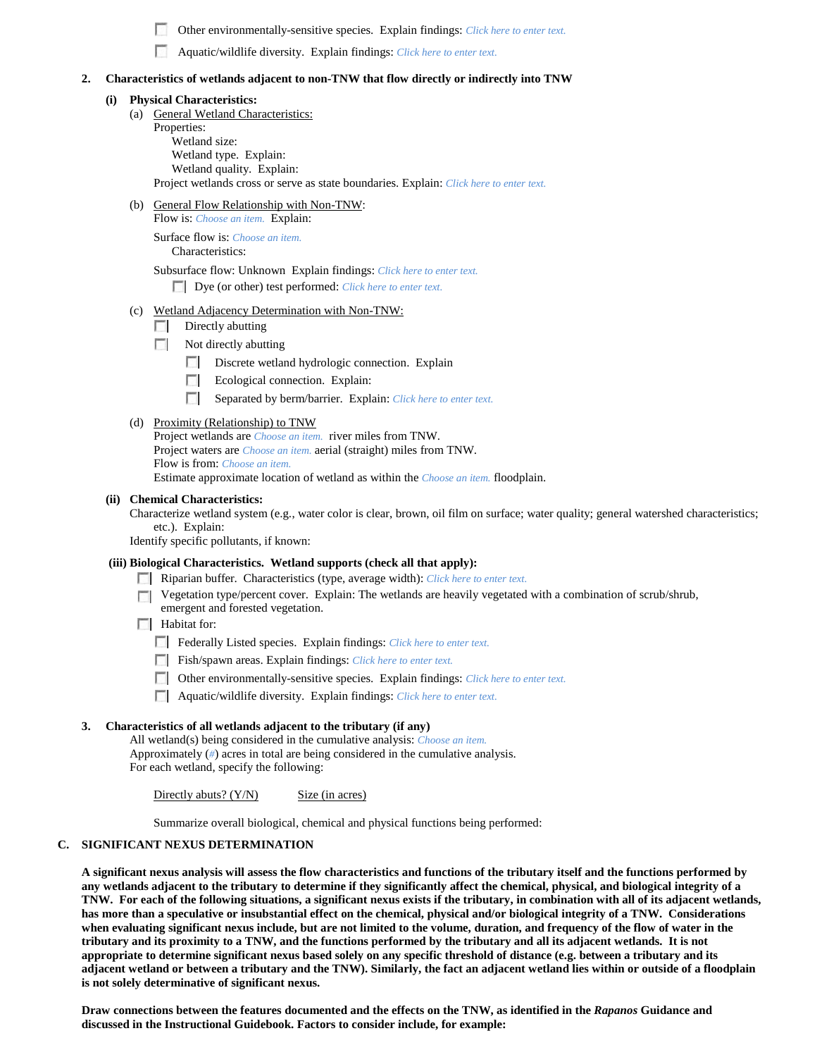Other environmentally-sensitive species. Explain findings: *Click here to enter text.*

Aquatic/wildlife diversity. Explain findings: *Click here to enter text.*

#### **2. Characteristics of wetlands adjacent to non-TNW that flow directly or indirectly into TNW**

#### **(i) Physical Characteristics:**

- (a) General Wetland Characteristics:
	- Properties: Wetland size: Wetland type. Explain: Wetland quality. Explain: Project wetlands cross or serve as state boundaries. Explain: *Click here to enter text.*
- (b) General Flow Relationship with Non-TNW:

Flow is: *Choose an item.* Explain: Surface flow is: *Choose an item.*

Characteristics:

Subsurface flow: Unknown Explain findings: *Click here to enter text.* Dye (or other) test performed: *Click here to enter text.*

## (c) Wetland Adjacency Determination with Non-TNW:

- Directly abutting **1999**
- $\sim$ Not directly abutting
	- Discrete wetland hydrologic connection. Explain
	- $\sim$ Ecological connection. Explain:
	- п Separated by berm/barrier. Explain: *Click here to enter text.*
- (d) Proximity (Relationship) to TNW

Project wetlands are *Choose an item.* river miles from TNW. Project waters are *Choose an item.* aerial (straight) miles from TNW. Flow is from: *Choose an item.* Estimate approximate location of wetland as within the *Choose an item.* floodplain.

#### **(ii) Chemical Characteristics:**

Characterize wetland system (e.g., water color is clear, brown, oil film on surface; water quality; general watershed characteristics; etc.). Explain:

Identify specific pollutants, if known:

#### **(iii) Biological Characteristics. Wetland supports (check all that apply):**

- Riparian buffer. Characteristics (type, average width): *Click here to enter text.*
- Vegetation type/percent cover. Explain: The wetlands are heavily vegetated with a combination of scrub/shrub, emergent and forested vegetation.
- **Habitat for:**

Federally Listed species. Explain findings: *Click here to enter text*.

Fish/spawn areas. Explain findings: *Click here to enter text*.

- Other environmentally-sensitive species. Explain findings: *Click here to enter text.*
- Aquatic/wildlife diversity. Explain findings: *Click here to enter text.*

## **3. Characteristics of all wetlands adjacent to the tributary (if any)**

All wetland(s) being considered in the cumulative analysis: *Choose an item.* Approximately (*#*) acres in total are being considered in the cumulative analysis. For each wetland, specify the following:

Directly abuts?  $(Y/N)$  Size (in acres)

Summarize overall biological, chemical and physical functions being performed:

# **C. SIGNIFICANT NEXUS DETERMINATION**

**A significant nexus analysis will assess the flow characteristics and functions of the tributary itself and the functions performed by any wetlands adjacent to the tributary to determine if they significantly affect the chemical, physical, and biological integrity of a TNW. For each of the following situations, a significant nexus exists if the tributary, in combination with all of its adjacent wetlands, has more than a speculative or insubstantial effect on the chemical, physical and/or biological integrity of a TNW. Considerations when evaluating significant nexus include, but are not limited to the volume, duration, and frequency of the flow of water in the tributary and its proximity to a TNW, and the functions performed by the tributary and all its adjacent wetlands. It is not appropriate to determine significant nexus based solely on any specific threshold of distance (e.g. between a tributary and its adjacent wetland or between a tributary and the TNW). Similarly, the fact an adjacent wetland lies within or outside of a floodplain is not solely determinative of significant nexus.** 

**Draw connections between the features documented and the effects on the TNW, as identified in the** *Rapanos* **Guidance and discussed in the Instructional Guidebook. Factors to consider include, for example:**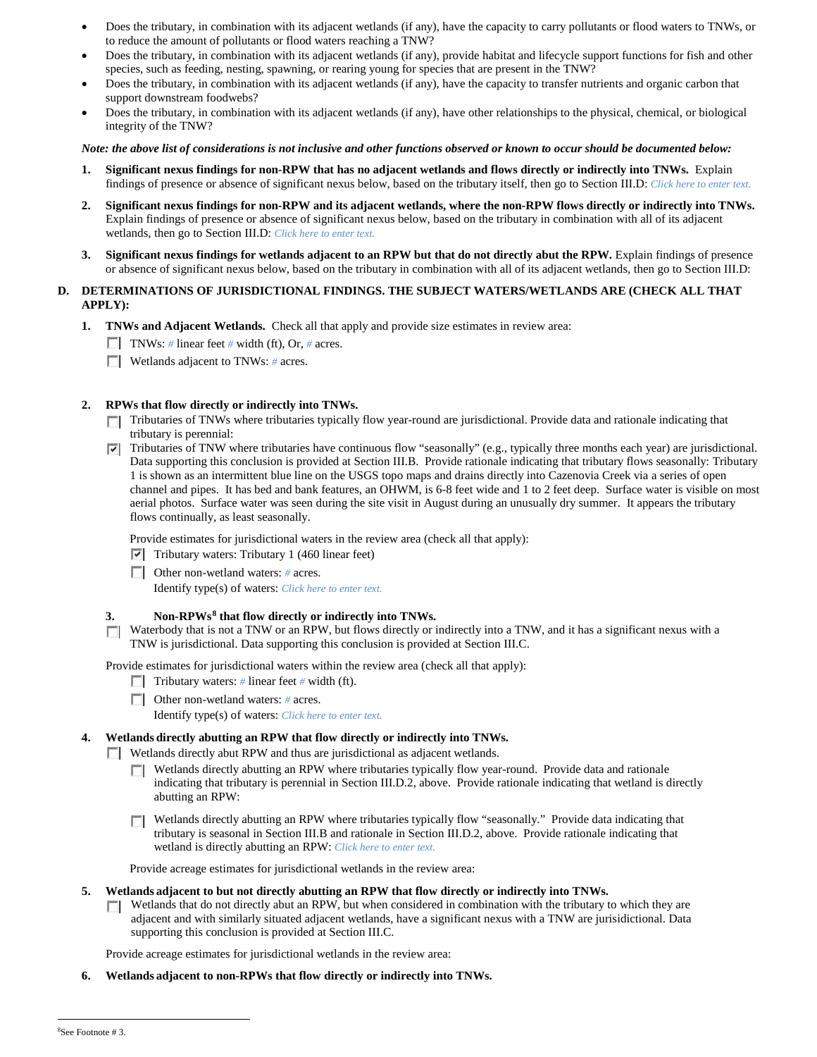- Does the tributary, in combination with its adjacent wetlands (if any), have the capacity to carry pollutants or flood waters to TNWs, or to reduce the amount of pollutants or flood waters reaching a TNW?
- Does the tributary, in combination with its adjacent wetlands (if any), provide habitat and lifecycle support functions for fish and other species, such as feeding, nesting, spawning, or rearing young for species that are present in the TNW?
- Does the tributary, in combination with its adjacent wetlands (if any), have the capacity to transfer nutrients and organic carbon that support downstream foodwebs?
- Does the tributary, in combination with its adjacent wetlands (if any), have other relationships to the physical, chemical, or biological integrity of the TNW?

#### *Note: the above list of considerations is not inclusive and other functions observed or known to occur should be documented below:*

- **1. Significant nexus findings for non-RPW that has no adjacent wetlands and flows directly or indirectly into TNWs.** Explain findings of presence or absence of significant nexus below, based on the tributary itself, then go to Section III.D: *Click here to enter text.*
- **2. Significant nexus findings for non-RPW and its adjacent wetlands, where the non-RPW flows directly or indirectly into TNWs.**  Explain findings of presence or absence of significant nexus below, based on the tributary in combination with all of its adjacent wetlands, then go to Section III.D: *Click here to enter text.*
- **3. Significant nexus findings for wetlands adjacent to an RPW but that do not directly abut the RPW.** Explain findings of presence or absence of significant nexus below, based on the tributary in combination with all of its adjacent wetlands, then go to Section III.D:

## **D. DETERMINATIONS OF JURISDICTIONAL FINDINGS. THE SUBJECT WATERS/WETLANDS ARE (CHECK ALL THAT APPLY):**

- **1. TNWs and Adjacent Wetlands.** Check all that apply and provide size estimates in review area:
	- TNWs: *#* linear feet *#* width (ft), Or, *#* acres.
	- **Wetlands adjacent to TNWs: # acres.**

# **2. RPWs that flow directly or indirectly into TNWs.**

- Tributaries of TNWs where tributaries typically flow year-round are jurisdictional. Provide data and rationale indicating that tributary is perennial:
- Tributaries of TNW where tributaries have continuous flow "seasonally" (e.g., typically three months each year) are jurisdictional. ⊽ Data supporting this conclusion is provided at Section III.B. Provide rationale indicating that tributary flows seasonally: Tributary 1 is shown as an intermittent blue line on the USGS topo maps and drains directly into Cazenovia Creek via a series of open channel and pipes. It has bed and bank features, an OHWM, is 6-8 feet wide and 1 to 2 feet deep. Surface water is visible on most aerial photos. Surface water was seen during the site visit in August during an unusually dry summer. It appears the tributary flows continually, as least seasonally.

Provide estimates for jurisdictional waters in the review area (check all that apply):

- $\triangledown$  Tributary waters: Tributary 1 (460 linear feet)
- Other non-wetland waters: *#* acres. Identify type(s) of waters: *Click here to enter text.*

#### **3. Non-RPWs[8](#page-4-0) that flow directly or indirectly into TNWs.**

 $\Box$  Waterbody that is not a TNW or an RPW, but flows directly or indirectly into a TNW, and it has a significant nexus with a TNW is jurisdictional. Data supporting this conclusion is provided at Section III.C.

Provide estimates for jurisdictional waters within the review area (check all that apply):

- Tributary waters: # linear feet # width (ft).
- Other non-wetland waters: *#* acres.

Identify type(s) of waters: *Click here to enter text.*

# **4. Wetlands directly abutting an RPW that flow directly or indirectly into TNWs.**

- **Wetlands directly abut RPW and thus are jurisdictional as adjacent wetlands.** 
	- Wetlands directly abutting an RPW where tributaries typically flow year-round. Provide data and rationale **TT** indicating that tributary is perennial in Section III.D.2, above. Provide rationale indicating that wetland is directly abutting an RPW:

Wetlands directly abutting an RPW where tributaries typically flow "seasonally." Provide data indicating that tributary is seasonal in Section III.B and rationale in Section III.D.2, above. Provide rationale indicating that wetland is directly abutting an RPW: *Click here to enter text.*

Provide acreage estimates for jurisdictional wetlands in the review area:

# **5. Wetlands adjacent to but not directly abutting an RPW that flow directly or indirectly into TNWs.**

 $\Box$  Wetlands that do not directly abut an RPW, but when considered in combination with the tributary to which they are adjacent and with similarly situated adjacent wetlands, have a significant nexus with a TNW are jurisidictional. Data supporting this conclusion is provided at Section III.C.

Provide acreage estimates for jurisdictional wetlands in the review area:

<span id="page-4-0"></span>**6. Wetlands adjacent to non-RPWs that flow directly or indirectly into TNWs.**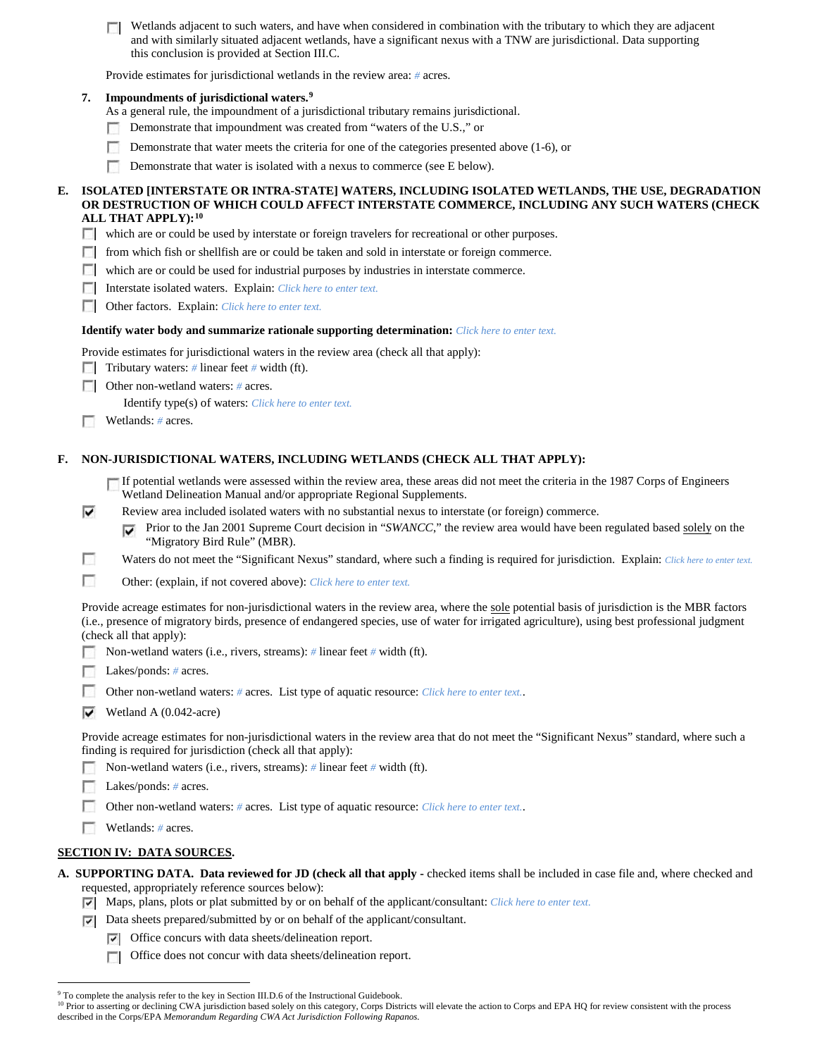Wetlands adjacent to such waters, and have when considered in combination with the tributary to which they are adjacent and with similarly situated adjacent wetlands, have a significant nexus with a TNW are jurisdictional. Data supporting this conclusion is provided at Section III.C.

Provide estimates for jurisdictional wetlands in the review area: *#* acres.

## **7. Impoundments of jurisdictional waters. [9](#page-5-0)**

As a general rule, the impoundment of a jurisdictional tributary remains jurisdictional.

- Demonstrate that impoundment was created from "waters of the U.S.," or n
- Demonstrate that water meets the criteria for one of the categories presented above (1-6), or
- Demonstrate that water is isolated with a nexus to commerce (see E below).

#### **E. ISOLATED [INTERSTATE OR INTRA-STATE] WATERS, INCLUDING ISOLATED WETLANDS, THE USE, DEGRADATION OR DESTRUCTION OF WHICH COULD AFFECT INTERSTATE COMMERCE, INCLUDING ANY SUCH WATERS (CHECK ALL THAT APPLY):[10](#page-5-1)**

- which are or could be used by interstate or foreign travelers for recreational or other purposes.
- $\Box$  from which fish or shellfish are or could be taken and sold in interstate or foreign commerce.
- which are or could be used for industrial purposes by industries in interstate commerce.
- Interstate isolated waters.Explain: *Click here to enter text.*
- Other factors.Explain: *Click here to enter text.*

#### **Identify water body and summarize rationale supporting determination:** *Click here to enter text.*

Provide estimates for jurisdictional waters in the review area (check all that apply):

Tributary waters: # linear feet # width (ft).

**Other non-wetland waters:** # acres.

Identify type(s) of waters: *Click here to enter text.*

Wetlands: # acres.

## **F. NON-JURISDICTIONAL WATERS, INCLUDING WETLANDS (CHECK ALL THAT APPLY):**

If potential wetlands were assessed within the review area, these areas did not meet the criteria in the 1987 Corps of Engineers Wetland Delineation Manual and/or appropriate Regional Supplements.

- ⊽ Review area included isolated waters with no substantial nexus to interstate (or foreign) commerce.
	- Prior to the Jan 2001 Supreme Court decision in "*SWANCC*," the review area would have been regulated based solely on the ⊽ "Migratory Bird Rule" (MBR).
- г Waters do not meet the "Significant Nexus" standard, where such a finding is required for jurisdiction. Explain: *Click here to enter text.*
- П Other: (explain, if not covered above): *Click here to enter text.*

Provide acreage estimates for non-jurisdictional waters in the review area, where the sole potential basis of jurisdiction is the MBR factors (i.e., presence of migratory birds, presence of endangered species, use of water for irrigated agriculture), using best professional judgment (check all that apply):

- Non-wetland waters (i.e., rivers, streams): *#* linear feet *#* width (ft).
- Lakes/ponds: # acres.
- Other non-wetland waters: *#* acres. List type of aquatic resource: *Click here to enter text.*.
- $\blacktriangleright$  Wetland A (0.042-acre)

Provide acreage estimates for non-jurisdictional waters in the review area that do not meet the "Significant Nexus" standard, where such a finding is required for jurisdiction (check all that apply):

Non-wetland waters (i.e., rivers, streams): *#* linear feet *#* width (ft).

- Г Lakes/ponds: *#* acres.
	- Other non-wetland waters: *#* acres. List type of aquatic resource: *Click here to enter text.*.
	- Wetlands: *#* acres.

#### **SECTION IV: DATA SOURCES.**

- **A. SUPPORTING DATA. Data reviewed for JD (check all that apply -** checked items shall be included in case file and, where checked and requested, appropriately reference sources below):
	- Maps, plans, plots or plat submitted by or on behalf of the applicant/consultant: *Click here to enter text.*
	- $\nabla$  Data sheets prepared/submitted by or on behalf of the applicant/consultant.
		- Office concurs with data sheets/delineation report.
		- Office does not concur with data sheets/delineation report.

<sup>&</sup>lt;sup>9</sup> To complete the analysis refer to the key in Section III.D.6 of the Instructional Guidebook.

<span id="page-5-1"></span><span id="page-5-0"></span><sup>&</sup>lt;sup>10</sup> Prior to asserting or declining CWA jurisdiction based solely on this category, Corps Districts will elevate the action to Corps and EPA HQ for review consistent with the process described in the Corps/EPA *Memorandum Regarding CWA Act Jurisdiction Following Rapanos.*